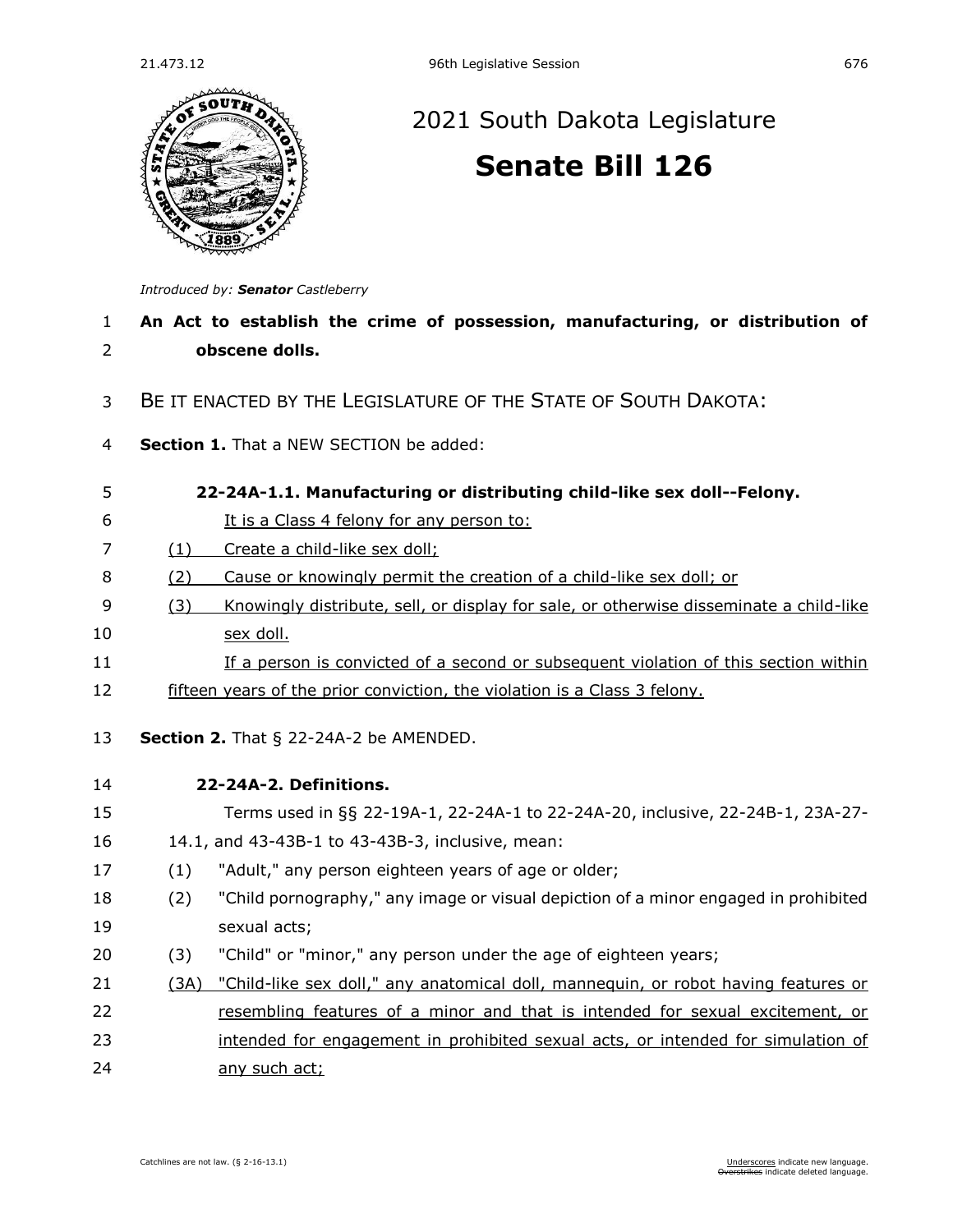

# 21.473.12 96th Legislative Session 676<br>
2021 South Dakota Legislature [2021 South Dakota Legislature](https://sdlegislature.gov/Session/Bills/44) **[Senate Bill 126](https://sdlegislature.gov/Session/Bill/22193)**

*Introduced by: Senator [Castleberry](https://sdlegislature.gov/Legislators/Profile/1776/Detail)*

| 1              | An Act to establish the crime of possession, manufacturing, or distribution of                |  |  |
|----------------|-----------------------------------------------------------------------------------------------|--|--|
| $\overline{2}$ | obscene dolls.                                                                                |  |  |
| 3              | BE IT ENACTED BY THE LEGISLATURE OF THE STATE OF SOUTH DAKOTA:                                |  |  |
| 4              | Section 1. That a NEW SECTION be added:                                                       |  |  |
| 5              | 22-24A-1.1. Manufacturing or distributing child-like sex doll--Felony.                        |  |  |
| 6              | It is a Class 4 felony for any person to:                                                     |  |  |
| $\overline{7}$ | Create a child-like sex doll;<br>(1)                                                          |  |  |
| 8              | Cause or knowingly permit the creation of a child-like sex doll; or<br>(2)                    |  |  |
| 9              | (3)<br>Knowingly distribute, sell, or display for sale, or otherwise disseminate a child-like |  |  |
| 10             | sex doll.                                                                                     |  |  |
| 11             | If a person is convicted of a second or subsequent violation of this section within           |  |  |
| 12             | fifteen years of the prior conviction, the violation is a Class 3 felony.                     |  |  |
| 13             | Section 2. That $\S$ 22-24A-2 be AMENDED.                                                     |  |  |
| 14             | 22-24A-2. Definitions.                                                                        |  |  |
| 15             | Terms used in §§ 22-19A-1, 22-24A-1 to 22-24A-20, inclusive, 22-24B-1, 23A-27-                |  |  |
| 16             | 14.1, and 43-43B-1 to 43-43B-3, inclusive, mean:                                              |  |  |
| 17             | "Adult," any person eighteen years of age or older;<br>(1)                                    |  |  |
| 18             | "Child pornography," any image or visual depiction of a minor engaged in prohibited<br>(2)    |  |  |
| 19             | sexual acts;                                                                                  |  |  |
| 20             | "Child" or "minor," any person under the age of eighteen years;<br>(3)                        |  |  |
| 21             | "Child-like sex doll," any anatomical doll, mannequin, or robot having features or<br>(3A)    |  |  |
| 22             | resembling features of a minor and that is intended for sexual excitement, or                 |  |  |
| 23             | intended for engagement in prohibited sexual acts, or intended for simulation of              |  |  |
| 24             | any such act;                                                                                 |  |  |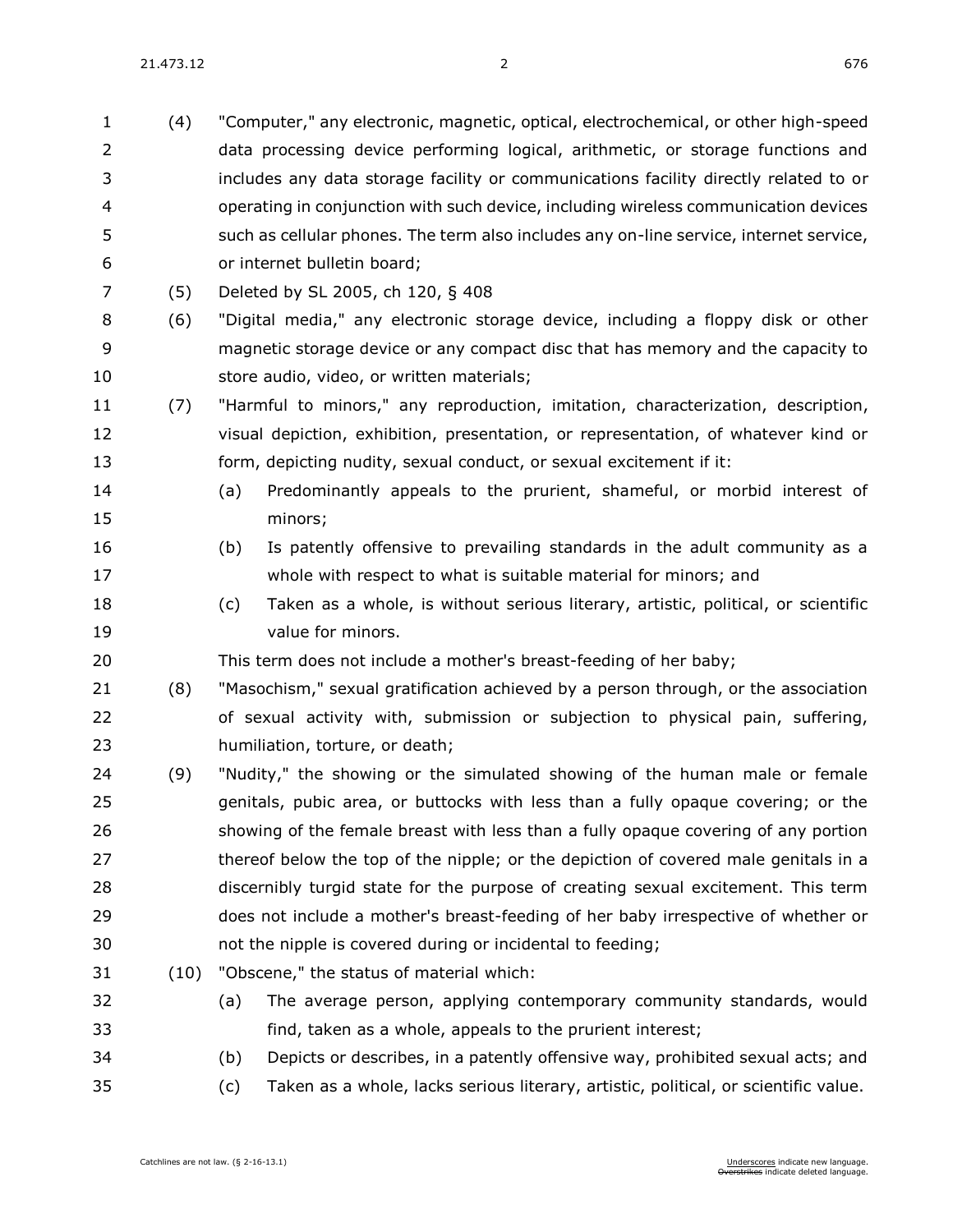(4) "Computer," any electronic, magnetic, optical, electrochemical, or other high-speed data processing device performing logical, arithmetic, or storage functions and includes any data storage facility or communications facility directly related to or operating in conjunction with such device, including wireless communication devices such as cellular phones. The term also includes any on-line service, internet service, or internet bulletin board; (5) Deleted by SL 2005, ch 120, § 408 (6) "Digital media," any electronic storage device, including a floppy disk or other magnetic storage device or any compact disc that has memory and the capacity to store audio, video, or written materials; (7) "Harmful to minors," any reproduction, imitation, characterization, description, visual depiction, exhibition, presentation, or representation, of whatever kind or form, depicting nudity, sexual conduct, or sexual excitement if it: (a) Predominantly appeals to the prurient, shameful, or morbid interest of minors; (b) Is patently offensive to prevailing standards in the adult community as a whole with respect to what is suitable material for minors; and (c) Taken as a whole, is without serious literary, artistic, political, or scientific value for minors. This term does not include a mother's breast-feeding of her baby; (8) "Masochism," sexual gratification achieved by a person through, or the association of sexual activity with, submission or subjection to physical pain, suffering, humiliation, torture, or death; (9) "Nudity," the showing or the simulated showing of the human male or female genitals, pubic area, or buttocks with less than a fully opaque covering; or the showing of the female breast with less than a fully opaque covering of any portion 27 thereof below the top of the nipple; or the depiction of covered male genitals in a discernibly turgid state for the purpose of creating sexual excitement. This term does not include a mother's breast-feeding of her baby irrespective of whether or not the nipple is covered during or incidental to feeding; (10) "Obscene," the status of material which: (a) The average person, applying contemporary community standards, would find, taken as a whole, appeals to the prurient interest; (b) Depicts or describes, in a patently offensive way, prohibited sexual acts; and (c) Taken as a whole, lacks serious literary, artistic, political, or scientific value.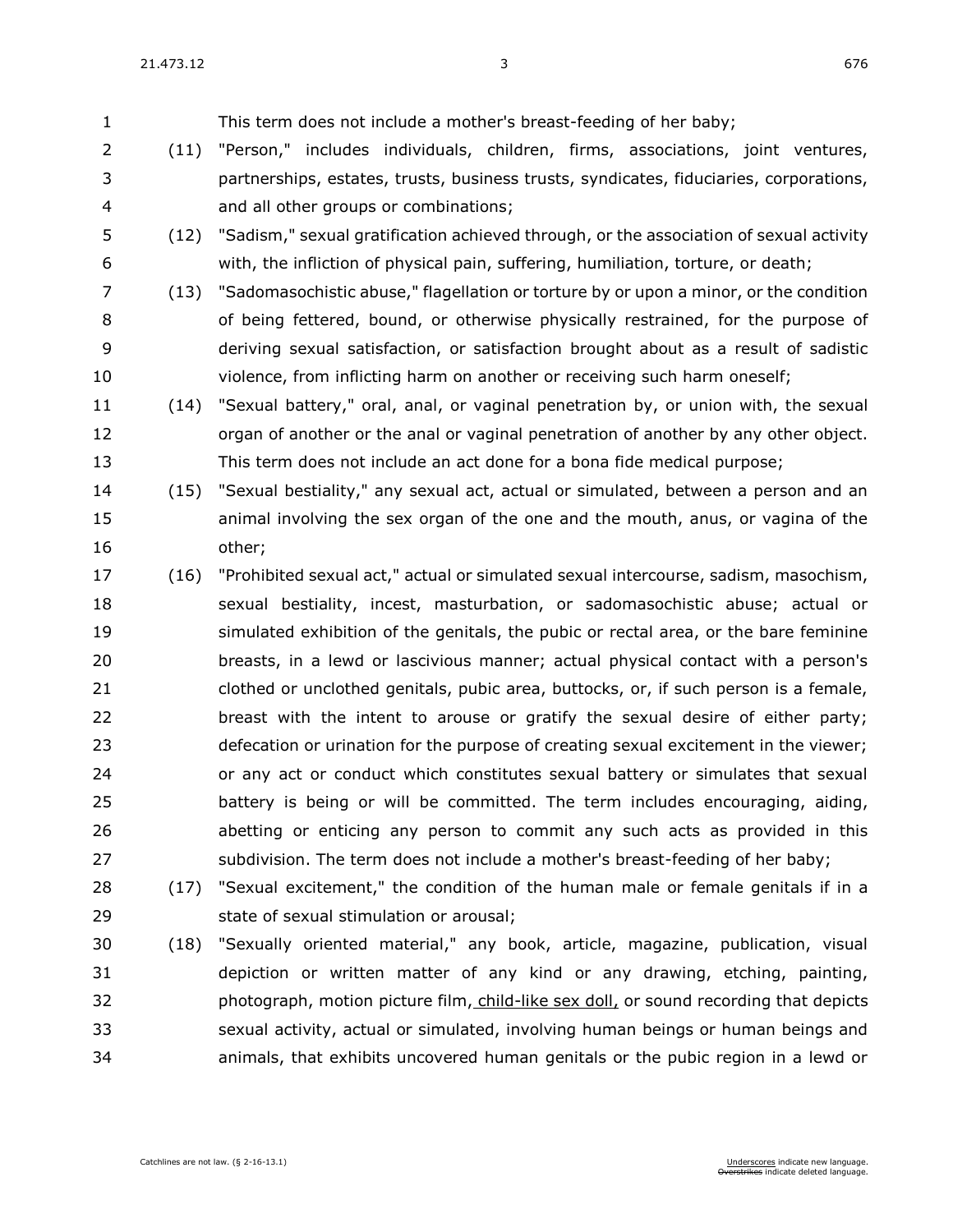(11) "Person," includes individuals, children, firms, associations, joint ventures,

 partnerships, estates, trusts, business trusts, syndicates, fiduciaries, corporations, and all other groups or combinations; (12) "Sadism," sexual gratification achieved through, or the association of sexual activity with, the infliction of physical pain, suffering, humiliation, torture, or death; (13) "Sadomasochistic abuse," flagellation or torture by or upon a minor, or the condition of being fettered, bound, or otherwise physically restrained, for the purpose of deriving sexual satisfaction, or satisfaction brought about as a result of sadistic violence, from inflicting harm on another or receiving such harm oneself; (14) "Sexual battery," oral, anal, or vaginal penetration by, or union with, the sexual 12 organ of another or the anal or vaginal penetration of another by any other object. This term does not include an act done for a bona fide medical purpose; (15) "Sexual bestiality," any sexual act, actual or simulated, between a person and an animal involving the sex organ of the one and the mouth, anus, or vagina of the other; (16) "Prohibited sexual act," actual or simulated sexual intercourse, sadism, masochism, sexual bestiality, incest, masturbation, or sadomasochistic abuse; actual or simulated exhibition of the genitals, the pubic or rectal area, or the bare feminine

This term does not include a mother's breast-feeding of her baby;

 breasts, in a lewd or lascivious manner; actual physical contact with a person's clothed or unclothed genitals, pubic area, buttocks, or, if such person is a female, breast with the intent to arouse or gratify the sexual desire of either party; defecation or urination for the purpose of creating sexual excitement in the viewer; or any act or conduct which constitutes sexual battery or simulates that sexual battery is being or will be committed. The term includes encouraging, aiding, abetting or enticing any person to commit any such acts as provided in this subdivision. The term does not include a mother's breast-feeding of her baby;

 (17) "Sexual excitement," the condition of the human male or female genitals if in a state of sexual stimulation or arousal;

 (18) "Sexually oriented material," any book, article, magazine, publication, visual depiction or written matter of any kind or any drawing, etching, painting, photograph, motion picture film, child-like sex doll, or sound recording that depicts sexual activity, actual or simulated, involving human beings or human beings and animals, that exhibits uncovered human genitals or the pubic region in a lewd or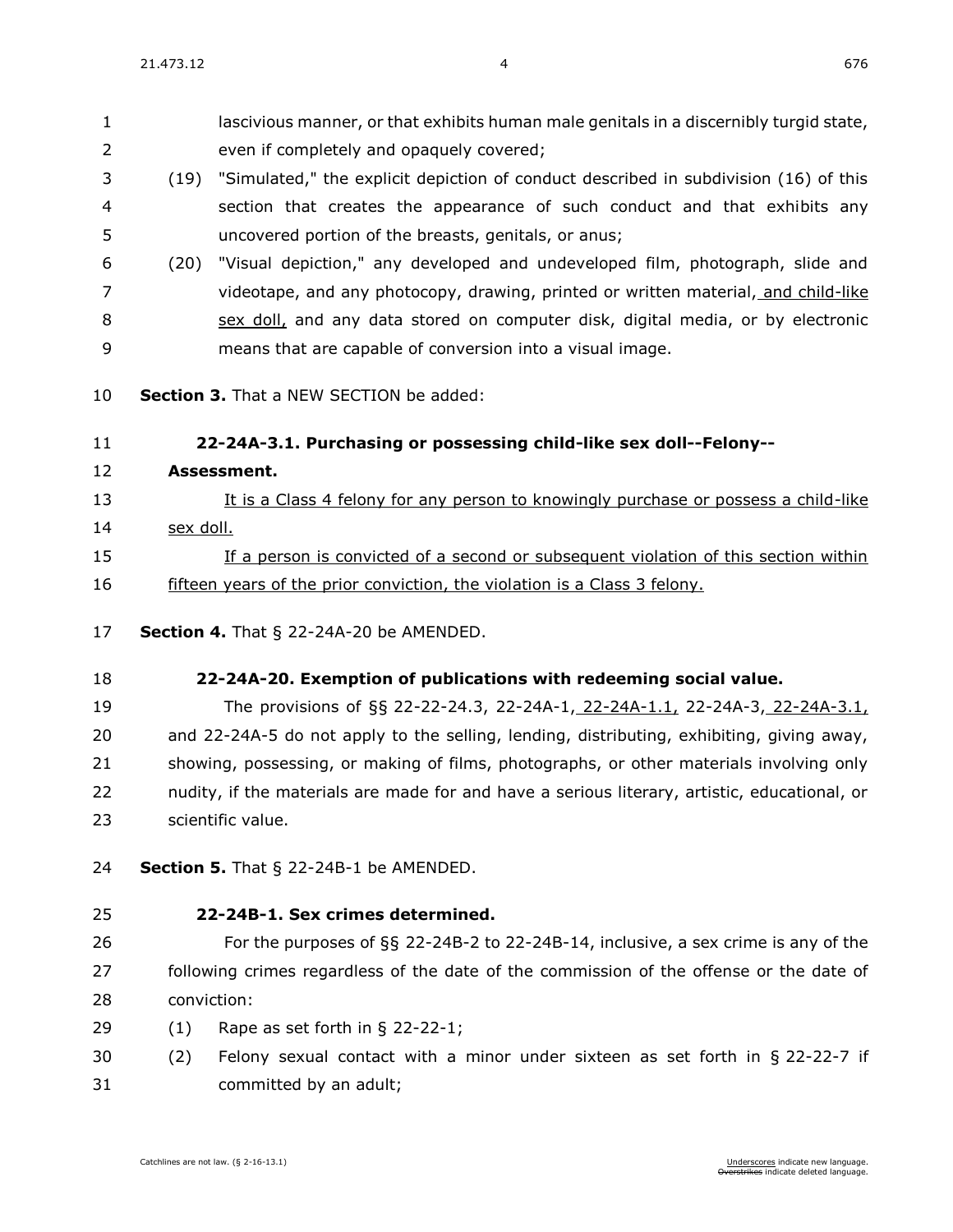lascivious manner, or that exhibits human male genitals in a discernibly turgid state, even if completely and opaquely covered; (19) "Simulated," the explicit depiction of conduct described in subdivision (16) of this section that creates the appearance of such conduct and that exhibits any uncovered portion of the breasts, genitals, or anus;

- (20) "Visual depiction," any developed and undeveloped film, photograph, slide and videotape, and any photocopy, drawing, printed or written material, and child-like sex doll, and any data stored on computer disk, digital media, or by electronic means that are capable of conversion into a visual image.
- **Section 3.** That a NEW SECTION be added:

#### **22-24A-3.1. Purchasing or possessing child-like sex doll--Felony--**

**Assessment.**

## It is a Class 4 felony for any person to knowingly purchase or possess a child-like sex doll.

- If a person is convicted of a second or subsequent violation of this section within fifteen years of the prior conviction, the violation is a Class 3 felony.
- **Section 4.** [That § 22-24A-20 be AMENDED.](https://sdlegislature.gov/Statutes/Codified_Laws/2047431)

### **[22-24A-20. E](https://sdlegislature.gov/Statutes/Codified_Laws/DisplayStatute.aspx?Type=Statute&Statute=22-24A-20)xemption of publications with redeeming social value.**

 The provisions of §§ [22-22-24.3,](https://sdlegislature.gov/Statutes/Codified_Laws/DisplayStatute.aspx?Type=Statute&Statute=22-22-24.3) [22-24A-1,](https://sdlegislature.gov/Statutes/Codified_Laws/DisplayStatute.aspx?Type=Statute&Statute=22-24A-1) 22-24A-1.1, [22-24A-3,](https://sdlegislature.gov/Statutes/Codified_Laws/DisplayStatute.aspx?Type=Statute&Statute=22-24A-3) 22-24A-3.1, and [22-24A-5](https://sdlegislature.gov/Statutes/Codified_Laws/DisplayStatute.aspx?Type=Statute&Statute=22-24A-5) do not apply to the selling, lending, distributing, exhibiting, giving away, showing, possessing, or making of films, photographs, or other materials involving only nudity, if the materials are made for and have a serious literary, artistic, educational, or scientific value.

- **Section 5.** [That § 22-24B-1 be AMENDED.](https://sdlegislature.gov/Statutes/Codified_Laws/2047434)
- 

#### **[22-24B-1. S](https://sdlegislature.gov/Statutes/Codified_Laws/DisplayStatute.aspx?Type=Statute&Statute=22-24B-1)ex crimes determined.**

- For the purposes of §§ [22-24B-2](https://sdlegislature.gov/Statutes/Codified_Laws/DisplayStatute.aspx?Type=Statute&Statute=22-24B-2) to [22-24B-14,](https://sdlegislature.gov/Statutes/Codified_Laws/DisplayStatute.aspx?Type=Statute&Statute=22-24B-14) inclusive, a sex crime is any of the following crimes regardless of the date of the commission of the offense or the date of conviction:
- (1) Rape as set forth in § [22-22-1;](https://sdlegislature.gov/Statutes/Codified_Laws/DisplayStatute.aspx?Type=Statute&Statute=22-22-1)
- (2) Felony sexual contact with a minor under sixteen as set forth in § [22-22-7](https://sdlegislature.gov/Statutes/Codified_Laws/DisplayStatute.aspx?Type=Statute&Statute=22-22-7) if committed by an adult;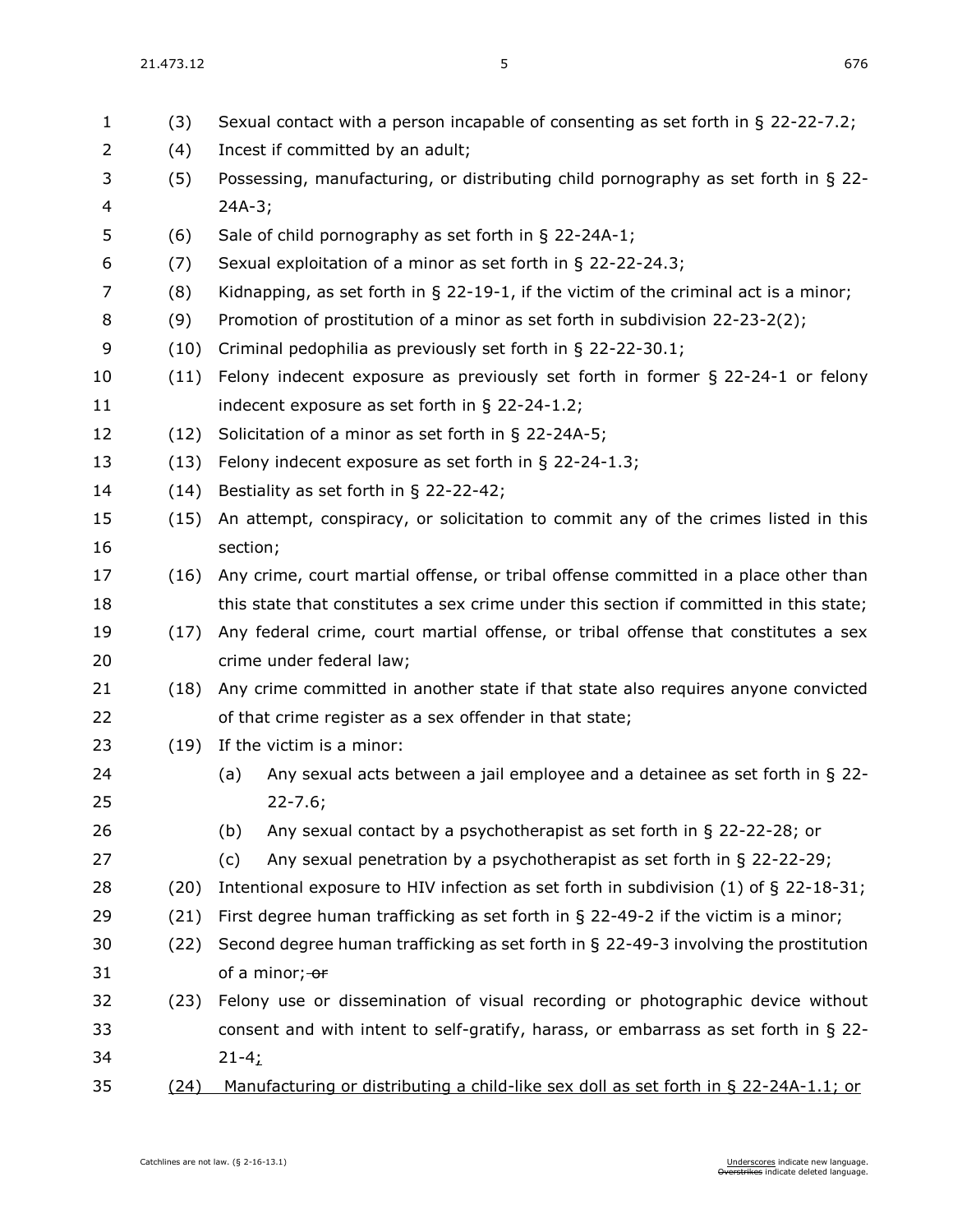| $\mathbf{1}$ | (3)  | Sexual contact with a person incapable of consenting as set forth in § 22-22-7.2;       |
|--------------|------|-----------------------------------------------------------------------------------------|
| 2            | (4)  | Incest if committed by an adult;                                                        |
| 3            | (5)  | Possessing, manufacturing, or distributing child pornography as set forth in § 22-      |
| 4            |      | $24A-3;$                                                                                |
| 5            | (6)  | Sale of child pornography as set forth in § 22-24A-1;                                   |
| 6            | (7)  | Sexual exploitation of a minor as set forth in § 22-22-24.3;                            |
| 7            | (8)  | Kidnapping, as set forth in $\S$ 22-19-1, if the victim of the criminal act is a minor; |
| 8            | (9)  | Promotion of prostitution of a minor as set forth in subdivision 22-23-2(2);            |
| 9            | (10) | Criminal pedophilia as previously set forth in § 22-22-30.1;                            |
| 10           | (11) | Felony indecent exposure as previously set forth in former $\S$ 22-24-1 or felony       |
| 11           |      | indecent exposure as set forth in $\S$ 22-24-1.2;                                       |
| 12           | (12) | Solicitation of a minor as set forth in § 22-24A-5;                                     |
| 13           | (13) | Felony indecent exposure as set forth in $\S$ 22-24-1.3;                                |
| 14           | (14) | Bestiality as set forth in § 22-22-42;                                                  |
| 15           | (15) | An attempt, conspiracy, or solicitation to commit any of the crimes listed in this      |
| 16           |      | section;                                                                                |
| 17           | (16) | Any crime, court martial offense, or tribal offense committed in a place other than     |
| 18           |      | this state that constitutes a sex crime under this section if committed in this state;  |
| 19           | (17) | Any federal crime, court martial offense, or tribal offense that constitutes a sex      |
| 20           |      | crime under federal law;                                                                |
| 21           | (18) | Any crime committed in another state if that state also requires anyone convicted       |
| 22           |      | of that crime register as a sex offender in that state;                                 |
| 23           | (19) | If the victim is a minor:                                                               |
| 24           |      | Any sexual acts between a jail employee and a detainee as set forth in $\S$ 22-<br>(a)  |
| 25           |      | $22 - 7.6;$                                                                             |
| 26           |      | Any sexual contact by a psychotherapist as set forth in $\S$ 22-22-28; or<br>(b)        |
| 27           |      | Any sexual penetration by a psychotherapist as set forth in § 22-22-29;<br>(c)          |
| 28           | (20) | Intentional exposure to HIV infection as set forth in subdivision $(1)$ of § 22-18-31;  |
| 29           | (21) | First degree human trafficking as set forth in $\S$ 22-49-2 if the victim is a minor;   |
| 30           | (22) | Second degree human trafficking as set forth in § 22-49-3 involving the prostitution    |
| 31           |      | of a minor; or                                                                          |
| 32           | (23) | Felony use or dissemination of visual recording or photographic device without          |
| 33           |      | consent and with intent to self-gratify, harass, or embarrass as set forth in $\S$ 22-  |
| 34           |      | $21 - 4;$                                                                               |
| 35           | (24) | Manufacturing or distributing a child-like sex doll as set forth in § 22-24A-1.1; or    |